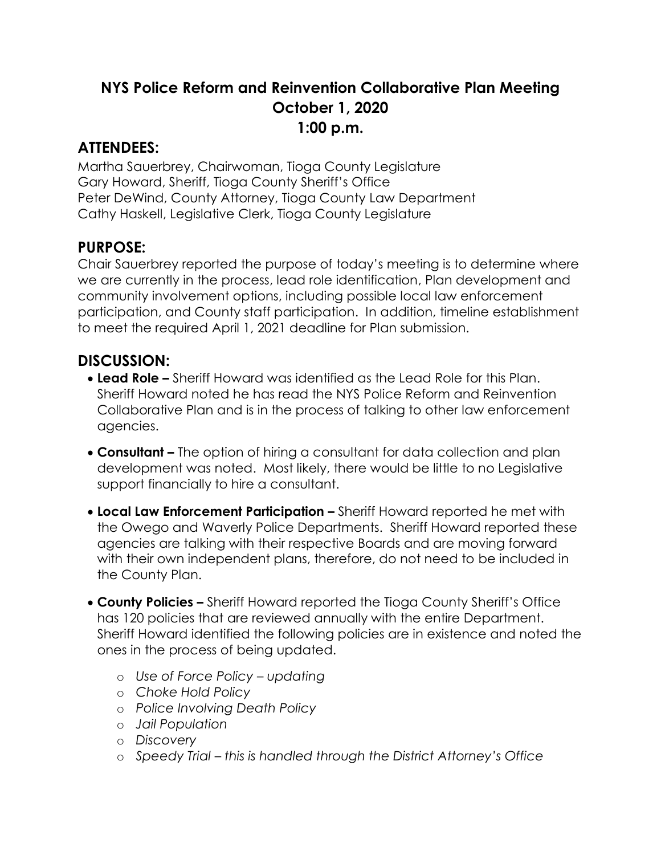## **NYS Police Reform and Reinvention Collaborative Plan Meeting October 1, 2020 1:00 p.m.**

## **ATTENDEES:**

Martha Sauerbrey, Chairwoman, Tioga County Legislature Gary Howard, Sheriff, Tioga County Sheriff's Office Peter DeWind, County Attorney, Tioga County Law Department Cathy Haskell, Legislative Clerk, Tioga County Legislature

## **PURPOSE:**

Chair Sauerbrey reported the purpose of today's meeting is to determine where we are currently in the process, lead role identification, Plan development and community involvement options, including possible local law enforcement participation, and County staff participation. In addition, timeline establishment to meet the required April 1, 2021 deadline for Plan submission.

## **DISCUSSION:**

- **Lead Role –** Sheriff Howard was identified as the Lead Role for this Plan. Sheriff Howard noted he has read the NYS Police Reform and Reinvention Collaborative Plan and is in the process of talking to other law enforcement agencies.
- **Consultant –** The option of hiring a consultant for data collection and plan development was noted. Most likely, there would be little to no Legislative support financially to hire a consultant.
- **Local Law Enforcement Participation –** Sheriff Howard reported he met with the Owego and Waverly Police Departments. Sheriff Howard reported these agencies are talking with their respective Boards and are moving forward with their own independent plans, therefore, do not need to be included in the County Plan.
- **County Policies –** Sheriff Howard reported the Tioga County Sheriff's Office has 120 policies that are reviewed annually with the entire Department. Sheriff Howard identified the following policies are in existence and noted the ones in the process of being updated.
	- o *Use of Force Policy – updating*
	- o *Choke Hold Policy*
	- o *Police Involving Death Policy*
	- o *Jail Population*
	- o *Discovery*
	- o *Speedy Trial – this is handled through the District Attorney's Office*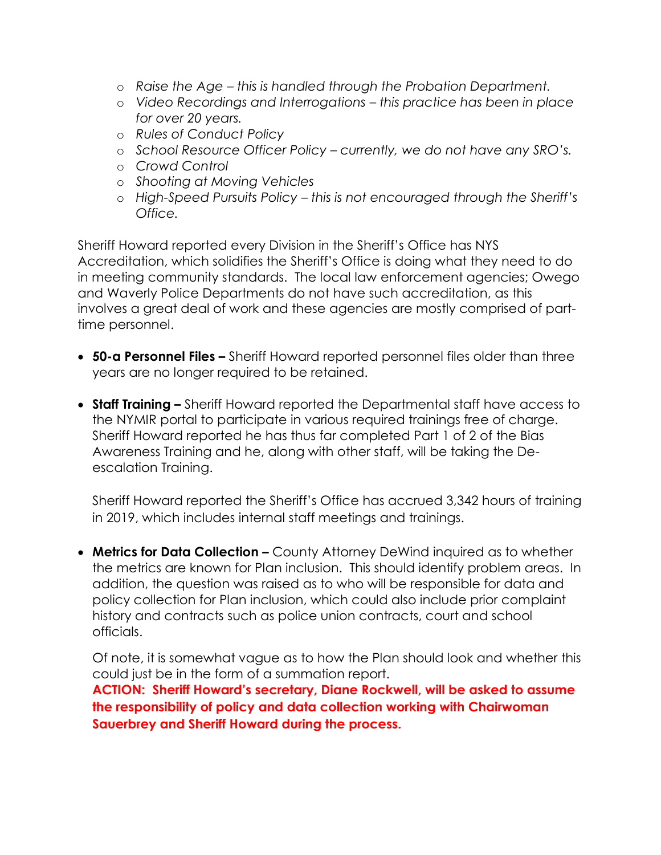- o *Raise the Age – this is handled through the Probation Department.*
- o *Video Recordings and Interrogations – this practice has been in place for over 20 years.*
- o *Rules of Conduct Policy*
- o *School Resource Officer Policy – currently, we do not have any SRO's.*
- o *Crowd Control*
- o *Shooting at Moving Vehicles*
- o *High-Speed Pursuits Policy – this is not encouraged through the Sheriff's Office.*

Sheriff Howard reported every Division in the Sheriff's Office has NYS Accreditation, which solidifies the Sheriff's Office is doing what they need to do in meeting community standards. The local law enforcement agencies; Owego and Waverly Police Departments do not have such accreditation, as this involves a great deal of work and these agencies are mostly comprised of parttime personnel.

- **50-a Personnel Files –** Sheriff Howard reported personnel files older than three years are no longer required to be retained.
- **Staff Training –** Sheriff Howard reported the Departmental staff have access to the NYMIR portal to participate in various required trainings free of charge. Sheriff Howard reported he has thus far completed Part 1 of 2 of the Bias Awareness Training and he, along with other staff, will be taking the Deescalation Training.

Sheriff Howard reported the Sheriff's Office has accrued 3,342 hours of training in 2019, which includes internal staff meetings and trainings.

**Metrics for Data Collection –** County Attorney DeWind inquired as to whether the metrics are known for Plan inclusion. This should identify problem areas. In addition, the question was raised as to who will be responsible for data and policy collection for Plan inclusion, which could also include prior complaint history and contracts such as police union contracts, court and school officials.

Of note, it is somewhat vague as to how the Plan should look and whether this could just be in the form of a summation report.

**ACTION: Sheriff Howard's secretary, Diane Rockwell, will be asked to assume the responsibility of policy and data collection working with Chairwoman Sauerbrey and Sheriff Howard during the process.**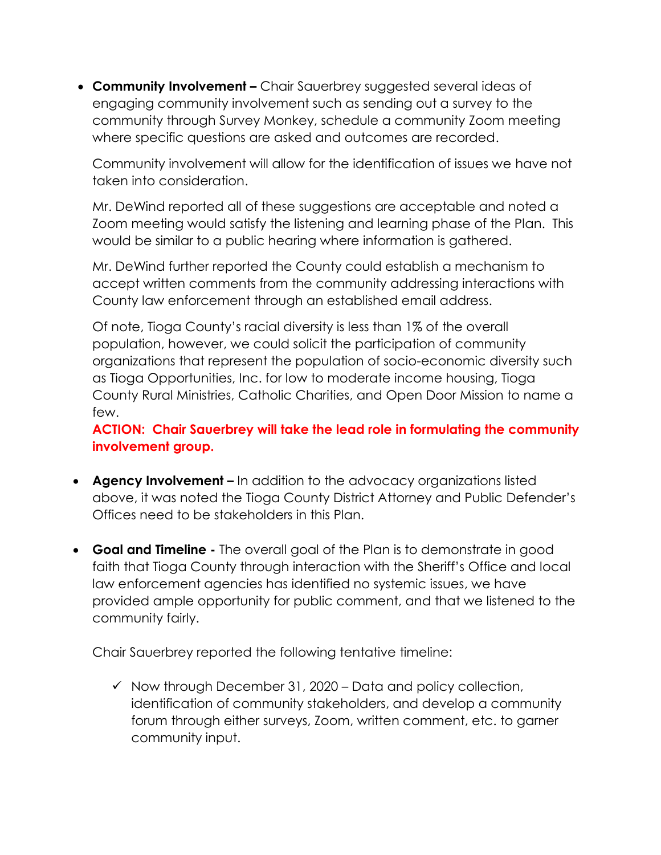**Community Involvement –** Chair Sauerbrey suggested several ideas of engaging community involvement such as sending out a survey to the community through Survey Monkey, schedule a community Zoom meeting where specific questions are asked and outcomes are recorded.

Community involvement will allow for the identification of issues we have not taken into consideration.

Mr. DeWind reported all of these suggestions are acceptable and noted a Zoom meeting would satisfy the listening and learning phase of the Plan. This would be similar to a public hearing where information is gathered.

Mr. DeWind further reported the County could establish a mechanism to accept written comments from the community addressing interactions with County law enforcement through an established email address.

Of note, Tioga County's racial diversity is less than 1% of the overall population, however, we could solicit the participation of community organizations that represent the population of socio-economic diversity such as Tioga Opportunities, Inc. for low to moderate income housing, Tioga County Rural Ministries, Catholic Charities, and Open Door Mission to name a few.

**ACTION: Chair Sauerbrey will take the lead role in formulating the community involvement group.** 

- **Agency Involvement –** In addition to the advocacy organizations listed above, it was noted the Tioga County District Attorney and Public Defender's Offices need to be stakeholders in this Plan.
- **Goal and Timeline -** The overall goal of the Plan is to demonstrate in good faith that Tioga County through interaction with the Sheriff's Office and local law enforcement agencies has identified no systemic issues, we have provided ample opportunity for public comment, and that we listened to the community fairly.

Chair Sauerbrey reported the following tentative timeline:

 $\checkmark$  Now through December 31, 2020 – Data and policy collection, identification of community stakeholders, and develop a community forum through either surveys, Zoom, written comment, etc. to garner community input.